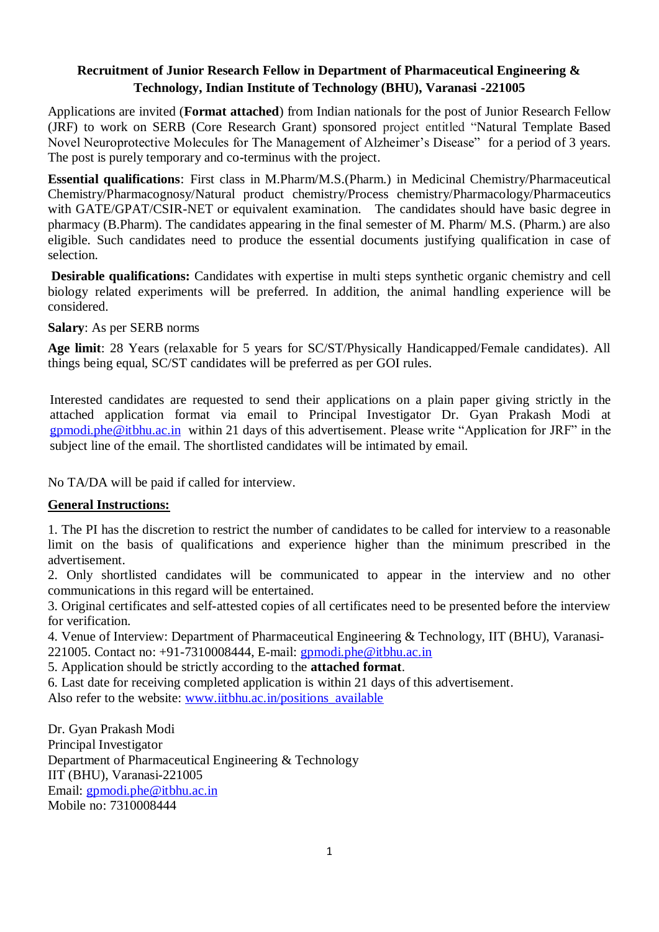## **Recruitment of Junior Research Fellow in Department of Pharmaceutical Engineering & Technology, Indian Institute of Technology (BHU), Varanasi -221005**

Applications are invited (**Format attached**) from Indian nationals for the post of Junior Research Fellow (JRF) to work on SERB (Core Research Grant) sponsored project entitled "Natural Template Based Novel Neuroprotective Molecules for The Management of Alzheimer's Disease" for a period of 3 years. The post is purely temporary and co-terminus with the project.

**Essential qualifications**: First class in M.Pharm/M.S.(Pharm.) in Medicinal Chemistry/Pharmaceutical Chemistry/Pharmacognosy/Natural product chemistry/Process chemistry/Pharmacology/Pharmaceutics with GATE/GPAT/CSIR-NET or equivalent examination. The candidates should have basic degree in pharmacy (B.Pharm). The candidates appearing in the final semester of M. Pharm/ M.S. (Pharm.) are also eligible. Such candidates need to produce the essential documents justifying qualification in case of selection.

**Desirable qualifications:** Candidates with expertise in multi steps synthetic organic chemistry and cell biology related experiments will be preferred. In addition, the animal handling experience will be considered.

**Salary**: As per SERB norms

**Age limit**: 28 Years (relaxable for 5 years for SC/ST/Physically Handicapped/Female candidates). All things being equal, SC/ST candidates will be preferred as per GOI rules.

Interested candidates are requested to send their applications on a plain paper giving strictly in the attached application format via email to Principal Investigator Dr. Gyan Prakash Modi at [gpmodi.phe@itbhu.ac.in](mailto:gpmodi.phe@itbhu.ac.in) within 21 days of this advertisement. Please write "Application for JRF" in the subject line of the email. The shortlisted candidates will be intimated by email.

No TA/DA will be paid if called for interview.

## **General Instructions:**

1. The PI has the discretion to restrict the number of candidates to be called for interview to a reasonable limit on the basis of qualifications and experience higher than the minimum prescribed in the advertisement.

2. Only shortlisted candidates will be communicated to appear in the interview and no other communications in this regard will be entertained.

3. Original certificates and self-attested copies of all certificates need to be presented before the interview for verification.

4. Venue of Interview: Department of Pharmaceutical Engineering & Technology, IIT (BHU), Varanasi-221005. Contact no: +91-7310008444, E-mail: [gpmodi.phe@itbhu.ac.in](mailto:gpmodi.phe@itbhu.ac.in)

5. Application should be strictly according to the **attached format**.

6. Last date for receiving completed application is within 21 days of this advertisement.

Also refer to the website: [www.iitbhu.ac.in/positions\\_available](http://www.iitbhu.ac.in/positions_available)

Dr. Gyan Prakash Modi Principal Investigator Department of Pharmaceutical Engineering & Technology IIT (BHU), Varanasi-221005 Email: [gpmodi.phe@itbhu.ac.in](mailto:gpmodi.phe@itbhu.ac.in) Mobile no: 7310008444